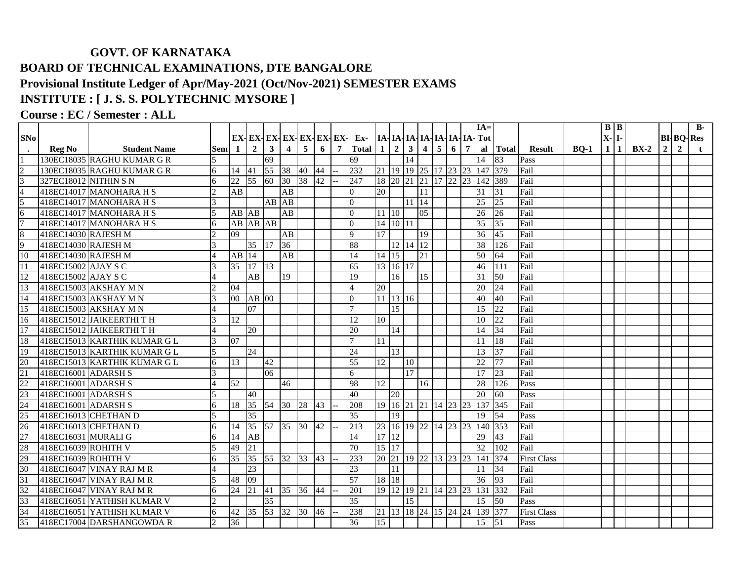## **GOVT. OF KARNATAKA BOARD OF TECHNICAL EXAMINATIONS, DTE BANGALORE Provisional Institute Ledger of Apr/May-2021 (Oct/Nov-2021) SEMESTER EXAMS INSTITUTE : [ J. S. S. POLYTECHNIC MYSORE ]**

## **Course : EC / Semester : ALL**

|                                                                                                                 |                       |                              |                     |                 |                       |                 |                         |                 |    |   |                       |                 |                      |                      |                |                |                 |                | $IA=$                        |                 |                    |             | $B \mid B$ |       |        |                |                | $B -$            |
|-----------------------------------------------------------------------------------------------------------------|-----------------------|------------------------------|---------------------|-----------------|-----------------------|-----------------|-------------------------|-----------------|----|---|-----------------------|-----------------|----------------------|----------------------|----------------|----------------|-----------------|----------------|------------------------------|-----------------|--------------------|-------------|------------|-------|--------|----------------|----------------|------------------|
| SNo                                                                                                             |                       |                              |                     |                 | EX-EX-EX-EX-EX-EX-EX- |                 |                         |                 |    |   | Ex-                   |                 |                      |                      |                |                |                 |                | IA-IA-IA-IA-IA-IA-IA-IA-Tot  |                 |                    |             | $X - I$    |       |        |                |                | <b>BI-BO-Res</b> |
|                                                                                                                 | <b>Reg No</b>         | <b>Student Name</b>          | <b>Sem</b>          | -1              | $\overline{2}$        | $\mathbf{3}$    | $\overline{\mathbf{4}}$ | 5               | 6  | 7 | Total $1 \mid 2 \mid$ |                 |                      | $\vert 3 \vert$      | $\overline{4}$ | 5 <sup>1</sup> | $6\phantom{.}6$ | $\overline{7}$ | al                           | <b>Total</b>    | Result             | <b>BO-1</b> |            | 1   1 | $BX-2$ | $\overline{2}$ | $\overline{2}$ |                  |
|                                                                                                                 |                       | 130EC18035 RAGHU KUMAR G R   |                     |                 |                       | 69              |                         |                 |    |   | 69                    |                 |                      | 14                   |                |                |                 |                | 14                           | 83              | Pass               |             |            |       |        |                |                |                  |
| $\frac{1}{2}$ $\frac{3}{4}$                                                                                     |                       | 130EC18035 RAGHU KUMAR G R   | 6                   | 14              | 41                    | $\overline{55}$ | 38 40                   |                 | 44 |   | 232                   |                 |                      | 21 19 19 25 17 23 23 |                |                |                 |                | 147                          | 379             | Fail               |             |            |       |        |                |                |                  |
|                                                                                                                 | 327EC18012 NITHIN S N |                              | 6                   | 22              | $\overline{55}$       | 60              | 30 <sup>7</sup>         | $\overline{38}$ | 42 |   | 247                   |                 |                      | 18 20 21 21 17 22 23 |                |                |                 |                | 142                          | 389             | Fail               |             |            |       |        |                |                |                  |
|                                                                                                                 |                       | 418EC14017 MANOHARA H S      | 2                   | AB              |                       |                 | $\overline{AB}$         |                 |    |   | $\overline{0}$        | 20              |                      |                      | <sup>11</sup>  |                |                 |                | 31                           | 31              | Fail               |             |            |       |        |                |                |                  |
| $\overline{5}$                                                                                                  |                       | 418EC14017 MANOHARA H S      | $\mathcal{R}$       |                 |                       | AB AB           |                         |                 |    |   | $\overline{0}$        |                 |                      | 11 14                |                |                |                 |                | $\overline{25}$              | 25              | Fail               |             |            |       |        |                |                |                  |
| $\overline{6}$                                                                                                  |                       | 418EC14017 MANOHARA H S      | 5                   | AB AB           |                       |                 | $\overline{AB}$         |                 |    |   | $\overline{0}$        | 11 10           |                      |                      | 05             |                |                 |                | 26                           | $\overline{26}$ | Fail               |             |            |       |        |                |                |                  |
| $\overline{7}$                                                                                                  |                       | 418EC14017 MANOHARA H S      | 6                   |                 | AB AB AB              |                 |                         |                 |    |   | $\overline{0}$        |                 | 14 10 11             |                      |                |                |                 |                | $\overline{35}$              | 35              | Fail               |             |            |       |        |                |                |                  |
| $\overline{8}$                                                                                                  | 418EC14030 RAJESH M   |                              | $\mathcal{D}$       | 09              |                       |                 | AB                      |                 |    |   | 9                     | 17              |                      |                      | 19             |                |                 |                | 36                           | 45              | Fail               |             |            |       |        |                |                |                  |
| 9                                                                                                               | 418EC14030 RAJESH M   |                              |                     |                 | 35                    | 17              | $\overline{36}$         |                 |    |   | 88                    |                 |                      | 12 14 12             |                |                |                 |                | 38                           | 126             | Fail               |             |            |       |        |                |                |                  |
| 10                                                                                                              | 418EC14030 RAJESH M   |                              | 4                   | AB              | 14                    |                 | AB                      |                 |    |   | 14                    | 14 15           |                      |                      | 21             |                |                 |                | 50                           | 64              | Fail               |             |            |       |        |                |                |                  |
| $\overline{11}$                                                                                                 | 418EC15002 AJAY S C   |                              |                     | $\overline{35}$ | 17                    | $ 13\rangle$    |                         |                 |    |   | 65                    |                 | 13 16 17             |                      |                |                |                 |                | 46                           | 111             | Fail               |             |            |       |        |                |                |                  |
| 12                                                                                                              | 418EC15002 AJAY S C   |                              |                     |                 | AB                    |                 | 19                      |                 |    |   | 19                    |                 | 16                   |                      | 15             |                |                 |                | 31                           | 50              | Fail               |             |            |       |        |                |                |                  |
| 13                                                                                                              |                       | 418EC15003 AKSHAY MN         | っ                   | 04              |                       |                 |                         |                 |    |   | 4                     | 20              |                      |                      |                |                |                 |                | 20                           | 24              | Fail               |             |            |       |        |                |                |                  |
| 14                                                                                                              |                       | 418EC15003 AKSHAY M N        | 3                   | 00              | $AB$ 00               |                 |                         |                 |    |   | $\Omega$              |                 | $11 \mid 13 \mid 16$ |                      |                |                |                 |                | 40                           | 40              | Fail               |             |            |       |        |                |                |                  |
| 15                                                                                                              |                       | 418EC15003 AKSHAY M N        |                     |                 | 07                    |                 |                         |                 |    |   | $\overline{7}$        |                 | 15                   |                      |                |                |                 |                | 15                           | 22              | Fail               |             |            |       |        |                |                |                  |
| 16                                                                                                              |                       | 418EC15012 JAIKEERTHIT H     | 3                   | 12              |                       |                 |                         |                 |    |   | 12                    | 10              |                      |                      |                |                |                 |                | 10                           | $\overline{22}$ | Fail               |             |            |       |        |                |                |                  |
| 17                                                                                                              |                       | 418EC15012 JAIKEERTHITH      |                     |                 | 20                    |                 |                         |                 |    |   | 20                    |                 | 14                   |                      |                |                |                 |                | 14                           | 34              | Fail               |             |            |       |        |                |                |                  |
| 18                                                                                                              |                       | 418EC15013 KARTHIK KUMAR G L | 3                   | 07              |                       |                 |                         |                 |    |   | $\tau$                | 11              |                      |                      |                |                |                 |                | 11                           | 18              | Fail               |             |            |       |        |                |                |                  |
| 19                                                                                                              |                       | 418EC15013 KARTHIK KUMAR G L |                     |                 | 24                    |                 |                         |                 |    |   | $\overline{24}$       |                 | 13                   |                      |                |                |                 |                | 13                           | $\overline{37}$ | Fail               |             |            |       |        |                |                |                  |
| $\frac{20}{21}$ $\frac{22}{23}$ $\frac{23}{24}$ $\frac{24}{25}$ $\frac{26}{27}$ $\frac{27}{28}$ $\frac{29}{29}$ |                       | 418EC15013 KARTHIK KUMAR G L | 6                   | 13              |                       | 42              |                         |                 |    |   | 55                    | $\overline{12}$ |                      | 10                   |                |                |                 |                | 22                           | 77              | Fail               |             |            |       |        |                |                |                  |
|                                                                                                                 | 418EC16001 ADARSH S   |                              |                     |                 |                       | 06              |                         |                 |    |   | 6                     |                 |                      | 17                   |                |                |                 |                | 17                           | 23              | Fail               |             |            |       |        |                |                |                  |
|                                                                                                                 | 418EC16001 ADARSH S   |                              | 4                   | 52              |                       |                 | 46                      |                 |    |   | 98                    | 12              |                      |                      | 16             |                |                 |                | 28                           | 126             | Pass               |             |            |       |        |                |                |                  |
|                                                                                                                 | 418EC16001 ADARSH S   |                              |                     |                 | 40                    |                 |                         |                 |    |   | 40                    |                 | 20                   |                      |                |                |                 |                | 20                           | 60              | Pass               |             |            |       |        |                |                |                  |
|                                                                                                                 | 418EC16001 ADARSH S   |                              | 6                   | 18              | $\overline{35}$       | 54              | 30 28                   |                 | 43 |   | 208                   |                 |                      | 19 16 21 21 14 23 23 |                |                |                 |                | 137                          | 345             | Fail               |             |            |       |        |                |                |                  |
|                                                                                                                 |                       | 418EC16013 CHETHAN D         |                     |                 | $\overline{35}$       |                 |                         |                 |    |   | $\overline{35}$       |                 | 19                   |                      |                |                |                 |                | 19                           | 54              | Pass               |             |            |       |        |                |                |                  |
|                                                                                                                 |                       | 418EC16013 CHETHAN D         | 6                   | 14              | 35                    |                 | 57 35 30                |                 | 42 |   | $\overline{213}$      |                 |                      |                      |                |                |                 |                | 23 16 19 22 14 23 23 140 353 |                 | Fail               |             |            |       |        |                |                |                  |
|                                                                                                                 | 418EC16031 MURALI G   |                              | 6                   | 14              | AB                    |                 |                         |                 |    |   | 14                    | 17 12           |                      |                      |                |                |                 |                | 29                           | 43              | Fail               |             |            |       |        |                |                |                  |
|                                                                                                                 | 418EC16039 ROHITH V   |                              |                     | 49              | 21                    |                 |                         |                 |    |   | 70                    |                 | 15 17                |                      |                |                |                 |                | 32                           | 102             | Fail               |             |            |       |        |                |                |                  |
|                                                                                                                 | 418EC16039 ROHITH V   |                              | 6                   | $\overline{35}$ | 35                    |                 | 55 32 33                |                 | 43 |   | 233                   |                 |                      | 20 21 19 22 13 23 23 |                |                |                 |                | 141                          | 374             | <b>First Class</b> |             |            |       |        |                |                |                  |
|                                                                                                                 |                       | 418EC16047 VINAY RAJ M R     | $\overline{\Delta}$ |                 | $\overline{23}$       |                 |                         |                 |    |   | $\overline{23}$       |                 | 11                   |                      |                |                |                 |                | 11                           | 34              | Fail               |             |            |       |        |                |                |                  |
| $\frac{1}{31}$                                                                                                  |                       | 418EC16047 VINAY RAJ M R     | $\varsigma$         | 48              | 09                    |                 |                         |                 |    |   | 57                    |                 | 18 18                |                      |                |                |                 |                | 36                           | 93              | Fail               |             |            |       |        |                |                |                  |
| 32                                                                                                              |                       | 418EC16047 VINAY RAJ M R     | 6                   | 24              | 21                    | 41              | 35 36                   |                 | 44 |   | 201                   |                 | 19 12                | 19 21 14 23 23       |                |                |                 |                | 131                          | 332             | Fail               |             |            |       |        |                |                |                  |
| 33                                                                                                              |                       | 418EC16051 YATHISH KUMAR V   | 2                   |                 |                       | 35              |                         |                 |    |   | $\overline{35}$       |                 |                      | 15                   |                |                |                 |                | 15                           | 50              | Pass               |             |            |       |        |                |                |                  |
| 34                                                                                                              |                       | 418EC16051 YATHISH KUMAR V   | 6                   | 42 35           |                       | 53              | 32 30                   |                 | 46 |   | 238                   |                 |                      | 21 13 18 24 15 24 24 |                |                |                 |                | 139 377                      |                 | <b>First Class</b> |             |            |       |        |                |                |                  |
| 35                                                                                                              |                       | 418EC17004 DARSHANGOWDA R    | 2                   | 36              |                       |                 |                         |                 |    |   | $\overline{36}$       | $\overline{15}$ |                      |                      |                |                |                 |                | 15                           | $\vert$ 51      | Pass               |             |            |       |        |                |                |                  |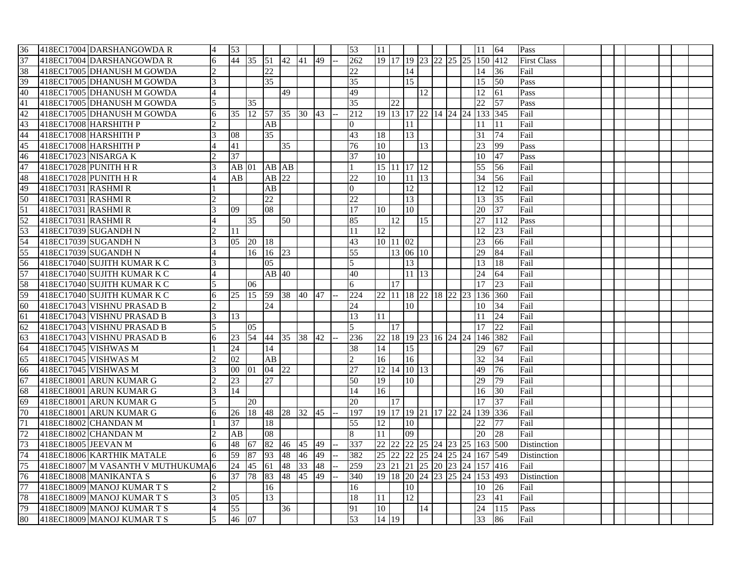| 36              |                       | 418EC17004 DARSHANGOWDA R          |                | 53              |             |                 |       |    |    | 53               | 11              |          |                 |                      |  |                 | 11                           | 64              | Pass               |  |  |  |  |
|-----------------|-----------------------|------------------------------------|----------------|-----------------|-------------|-----------------|-------|----|----|------------------|-----------------|----------|-----------------|----------------------|--|-----------------|------------------------------|-----------------|--------------------|--|--|--|--|
| 37              |                       | 418EC17004 DARSHANGOWDA R          | 6              | 44              | 35 51       |                 | 42 41 |    | 49 | 262              |                 |          |                 |                      |  |                 | 19 17 19 23 22 25 25 150 412 |                 | <b>First Class</b> |  |  |  |  |
| 38              |                       | 418EC17005 DHANUSH M GOWDA         |                |                 |             | 22              |       |    |    | 22               |                 |          | 14              |                      |  |                 | 14                           | 36              | Fail               |  |  |  |  |
| 39              |                       | 418EC17005 DHANUSH M GOWDA         | 3              |                 |             | 35              |       |    |    | $\overline{35}$  |                 |          | 15              |                      |  |                 | 15                           | 50              | Pass               |  |  |  |  |
| 40              |                       | 418EC17005 DHANUSH M GOWDA         |                |                 |             |                 | 49    |    |    | 49               |                 |          |                 | 12                   |  |                 | 12                           | 61              | Pass               |  |  |  |  |
| 41              |                       | 418EC17005 DHANUSH M GOWDA         | 5              |                 | 35          |                 |       |    |    | 35               |                 | 22       |                 |                      |  |                 | 22                           | $\overline{57}$ | Pass               |  |  |  |  |
| 42              |                       | 418EC17005 DHANUSH M GOWDA         | 6              | 35              | 12          | 57              | 35 30 |    | 43 | 212              |                 |          |                 | 19 13 17 22 14 24 24 |  |                 | 133 345                      |                 | Fail               |  |  |  |  |
| 43              |                       | 418EC17008 HARSHITH P              |                |                 |             | AB              |       |    |    | $\Omega$         |                 |          | 11              |                      |  |                 | 11                           | 11              | Fail               |  |  |  |  |
| $\frac{44}{45}$ |                       | 418EC17008 HARSHITH P              | $\mathcal{E}$  | 08              |             | 35              |       |    |    | 43               | 18              |          | 13              |                      |  |                 | 31                           | 74              | Fail               |  |  |  |  |
|                 |                       | 418EC17008 HARSHITH P              |                | 41              |             |                 | 35    |    |    | 76               | 10              |          |                 | 13                   |  |                 | 23                           | 99              | Pass               |  |  |  |  |
| 46              | 418EC17023 NISARGA K  |                                    |                | 37              |             |                 |       |    |    | 37               | 10              |          |                 |                      |  |                 | 10                           | 47              | Pass               |  |  |  |  |
| 47              | 418EC17028 PUNITH H R |                                    | 3              | $AB$   01       |             | AB AB           |       |    |    |                  |                 |          | 15 11 17 12     |                      |  |                 | 55                           | 56              | Fail               |  |  |  |  |
| 48              | 418EC17028 PUNITH H R |                                    |                | AВ              |             | AB 22           |       |    |    | $\overline{22}$  | 10              |          | $11 \,   13$    |                      |  |                 | 34                           | 56              | Fail               |  |  |  |  |
|                 | 418EC17031 RASHMI R   |                                    |                |                 |             | AB              |       |    |    | $\overline{0}$   |                 |          | $\overline{12}$ |                      |  |                 | 12                           | 12              | Fail               |  |  |  |  |
| $\frac{49}{50}$ | 418EC17031 RASHMI R   |                                    |                |                 |             | 22              |       |    |    | 22               |                 |          | 13              |                      |  |                 | 13                           | 35              | Fail               |  |  |  |  |
| 51              | 418EC17031 RASHMI R   |                                    |                | 09              |             | 08              |       |    |    | $\overline{17}$  | 10              |          | 10              |                      |  |                 | 20                           | $\overline{37}$ | Fail               |  |  |  |  |
| 52              | 418EC17031 RASHMI R   |                                    |                |                 | 35          |                 | 50    |    |    | 85               |                 | 12       |                 | 15                   |  |                 | 27                           | 112             | Pass               |  |  |  |  |
| 53              |                       | 418EC17039 SUGANDH N               |                | 11              |             |                 |       |    |    | 11               | 12 <sup>1</sup> |          |                 |                      |  |                 | 12                           | 23              | Fail               |  |  |  |  |
| 54              |                       | 418EC17039 SUGANDH N               | 3              | 05              | 20          | 18              |       |    |    | 43               |                 | 10 11 02 |                 |                      |  |                 | 23                           | 66              | Fail               |  |  |  |  |
| 55              |                       | 418EC17039 SUGANDH N               |                |                 | 16          | 16 23           |       |    |    | 55               |                 |          | 13 06 10        |                      |  |                 | 29                           | 84              | Fail               |  |  |  |  |
| 56              |                       | 418EC17040 SUJITH KUMAR K C        | 3              |                 |             | 05              |       |    |    | $\mathcal{F}$    |                 |          | 13              |                      |  |                 | 13                           | 18              | Fail               |  |  |  |  |
| 57              |                       | 418EC17040 SUJITH KUMAR K C        |                |                 |             | $AB$ 40         |       |    |    | 40               |                 |          | 11 13           |                      |  |                 | $\overline{24}$              | 64              | Fail               |  |  |  |  |
| 58              |                       | 418EC17040 SUJITH KUMAR K C        | 5              |                 | 06          |                 |       |    |    | 6                |                 | 17       |                 |                      |  |                 | 17                           | 23              | Fail               |  |  |  |  |
| 59              |                       | 418EC17040 SUJITH KUMAR K C        | 6              | 25              | 15 59 38 40 |                 |       |    | 47 | $\overline{224}$ |                 |          |                 |                      |  |                 | 22 11 18 22 18 22 23 136 360 |                 | Fail               |  |  |  |  |
| 60              |                       | 418EC17043 VISHNU PRASAD B         | $\mathcal{D}$  |                 |             | $\overline{24}$ |       |    |    | 24               |                 |          | 10              |                      |  |                 | 10                           | 34              | Fail               |  |  |  |  |
| 61              |                       | 418EC17043 VISHNU PRASAD B         | 3              | 13              |             |                 |       |    |    | $\overline{13}$  | 11              |          |                 |                      |  |                 | 11                           | 24              | Fail               |  |  |  |  |
| $\frac{62}{63}$ |                       | 418EC17043 VISHNU PRASAD B         | 5              |                 | 05          |                 |       |    |    | 5                |                 | 17       |                 |                      |  |                 | 17                           | 22              | Fail               |  |  |  |  |
|                 |                       | 418EC17043 VISHNU PRASAD B         | 6              | 23              | 54          | 44 35           |       | 38 | 42 | 236              |                 |          |                 |                      |  |                 | 22 18 19 23 16 24 24 146 382 |                 | Fail               |  |  |  |  |
| $\frac{64}{65}$ |                       | 418EC17045 VISHWAS M               |                | 24              |             | 14              |       |    |    | 38               | 14              |          | 15              |                      |  |                 | 29                           | 67              | Fail               |  |  |  |  |
|                 | 418EC17045 VISHWAS M  |                                    | $\mathfrak{D}$ | 02              |             | AB              |       |    |    | $\overline{2}$   | 16              |          | 16              |                      |  |                 | 32                           | 34              | Fail               |  |  |  |  |
| 66              | 418EC17045 VISHWAS M  |                                    | 3              | 00              | 01          | 04 22           |       |    |    | 27               |                 |          | 12 14 10 13     |                      |  |                 | 49                           | 76              | Fail               |  |  |  |  |
| 67              |                       | 418EC18001 ARUN KUMAR G            | $\mathfrak{D}$ | $\overline{23}$ |             | 27              |       |    |    | $\overline{50}$  | 19              |          | 10              |                      |  |                 | 29                           | 79              | Fail               |  |  |  |  |
| 68              |                       | 418EC18001 ARUN KUMAR G            | 3              | 14              |             |                 |       |    |    | 14               | 16              |          |                 |                      |  |                 | 16                           | 30              | Fail               |  |  |  |  |
| 69              |                       | 418EC18001 ARUN KUMAR G            |                |                 | 20          |                 |       |    |    | 20               |                 | 17       |                 |                      |  |                 | 17                           | 37              | Fail               |  |  |  |  |
| 70              |                       | 418EC18001 ARUN KUMAR G            | 6              | 26              | 18          | 48 28           |       | 32 | 45 | 197              |                 |          |                 |                      |  |                 | 19 17 19 21 17 22 24 139 336 |                 | Fail               |  |  |  |  |
| 71              |                       | 418EC18002 CHANDAN M               |                | $\overline{37}$ |             | 18              |       |    |    | $\overline{55}$  | 12              |          | 10              |                      |  |                 | 22                           | 77              | Fail               |  |  |  |  |
| 72              |                       | 418EC18002 CHANDAN M               |                | AB              |             | 08              |       |    |    | 8                | 11              |          | $\overline{0}$  |                      |  |                 | 20                           | 28              | Fail               |  |  |  |  |
| 73              | 418EC18005 JEEVAN M   |                                    | 6              | 48              | 67          | 82              | 46    | 45 | 49 | 337              |                 |          |                 |                      |  |                 | 22 22 23 24 23 25 163 500    |                 | Distinction        |  |  |  |  |
| 74              |                       | 418EC18006 KARTHIK MATALE          | 6              | 59              | 87          | 93              | 48    | 46 | 49 | 382              |                 |          |                 | 25 22 22 25 24 25    |  | $\overline{24}$ | 167                          | 549             | Distinction        |  |  |  |  |
| 75              |                       | 418EC18007 M VASANTH V MUTHUKUMA 6 |                | 24              | 45          | 61              | 48    | 33 | 48 | 259              | 23 21           |          |                 |                      |  |                 | 21 25 20 23 24 157 416       |                 | Fail               |  |  |  |  |
| 76              |                       | 418EC18008 MANIKANTA S             | 6              | 37              | $78\,$      | 83              | 48    | 45 | 49 | 340              |                 |          |                 | 19 18 20 24 23 25    |  | 24              | 153 493                      |                 | Distinction        |  |  |  |  |
| 77              |                       | 418EC18009 MANOJ KUMAR T S         | $\mathfrak{D}$ |                 |             | 16              |       |    |    | 16               |                 |          | 10              |                      |  |                 | 10                           | 26              | Fail               |  |  |  |  |
| 78              |                       | 418EC18009 MANOJ KUMAR T S         |                | 05              |             | 13              |       |    |    | 18               | 11              |          | 12              |                      |  |                 | 23                           | 41              | Fail               |  |  |  |  |
| 79              |                       | 418EC18009 MANOJ KUMAR T S         |                | 55              |             |                 | 36    |    |    | 91               | 10              |          |                 | 14                   |  |                 | $\overline{24}$              | 115             | Pass               |  |  |  |  |
| 80              |                       | 418EC18009 MANOJ KUMAR T S         | 5              | 46              | 07          |                 |       |    |    | 53               | 14 19           |          |                 |                      |  |                 | 33                           | 86              | Fail               |  |  |  |  |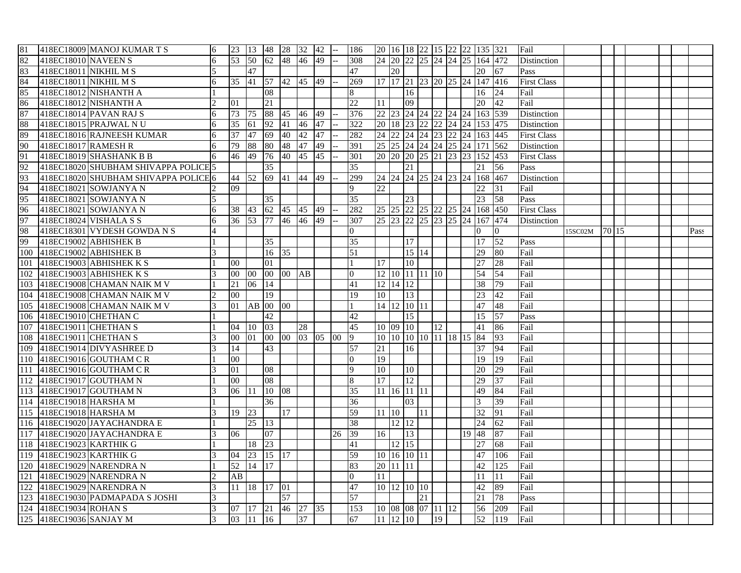| 81  |                         | 418EC18009 MANOJ KUMAR T S           | 6 | 23   13         |                    | 48 28 32        |                 |       | 42 |                          | 186             |                 |            |                   |    |              |                         | 20 16 18 22 15 22 22 135 321                 |                 | Fail               |         |         |  |      |
|-----|-------------------------|--------------------------------------|---|-----------------|--------------------|-----------------|-----------------|-------|----|--------------------------|-----------------|-----------------|------------|-------------------|----|--------------|-------------------------|----------------------------------------------|-----------------|--------------------|---------|---------|--|------|
| 82  | 418EC18010 NAVEEN S     |                                      | 6 | 53              | 50                 | 62 48           |                 | 46    | 49 | $-$                      | 308             |                 |            |                   |    |              |                         | 24 20 22 25 24 24 25 164 472                 |                 | Distinction        |         |         |  |      |
| 83  | 418EC18011 NIKHIL M S   |                                      |   |                 | 47                 |                 |                 |       |    |                          | 47              |                 | 20         |                   |    |              |                         | 20                                           | 67              | Pass               |         |         |  |      |
| 84  | 418EC18011 NIKHIL M S   |                                      | 6 | 35              | $ 41\rangle$       | $\overline{57}$ | 42 45 49        |       |    |                          | 269             |                 |            |                   |    |              |                         | 17 17 21 23 20 25 24 147 416                 |                 | <b>First Class</b> |         |         |  |      |
| 85  |                         | 418EC18012 NISHANTH A                |   |                 |                    | 08              |                 |       |    |                          | 8               |                 |            | 16                |    |              |                         | 16                                           | 24              | Fail               |         |         |  |      |
| 86  |                         | 418EC18012 NISHANTH A                |   | 01              |                    | 21              |                 |       |    |                          | 22              | 11              |            | 09                |    |              |                         | 20                                           | 42              | Fail               |         |         |  |      |
| 87  |                         | 418EC18014 PAVAN RAJ S               | 6 | 73              | 75                 | 88              | 45              | 46    | 49 |                          | 376             |                 |            |                   |    |              |                         | 22 23 24 24 22 24 24 163 539                 |                 | <b>Distinction</b> |         |         |  |      |
| 88  |                         | 418EC18015 PRAJWAL NU                | 6 | 35              | 61                 | 92              | 41              | 46    | 47 |                          | 322             |                 |            |                   |    |              |                         | 20   18   23   22   22   24   24   153   475 |                 | Distinction        |         |         |  |      |
| 89  |                         | 418EC18016 RAJNEESH KUMAR            | 6 | $\overline{37}$ | 47                 | 69              | 40              | 42    | 47 | $\overline{\phantom{0}}$ | 282             |                 |            |                   |    |              |                         | 24 22 24 24 23 22 24 163 445                 |                 | <b>First Class</b> |         |         |  |      |
| 90  | 418EC18017 RAMESH R     |                                      | 6 | 79              | 88                 | 80              | 48              | 47    | 49 |                          | 391             |                 |            |                   |    |              |                         | 25 25 24 24 24 25 24 171 562                 |                 | Distinction        |         |         |  |      |
| 91  |                         | 418EC18019 SHASHANK B B              | 6 | 46              | 49                 | 76              | 40 45           |       | 45 |                          | 301             |                 |            |                   |    |              |                         | 20 20 20 25 21 23 23 152 453                 |                 | <b>First Class</b> |         |         |  |      |
| 92  |                         | 418EC18020 SHUBHAM SHIVAPPA POLICE 5 |   |                 |                    | 35              |                 |       |    |                          | 35              |                 |            | 21                |    |              |                         | 21                                           | $\overline{56}$ | Pass               |         |         |  |      |
| 93  |                         | 418EC18020 SHUBHAM SHIVAPPA POLICE 6 |   | 44 52           |                    | 69              | 41 44           |       | 49 |                          | 299             |                 |            |                   |    |              |                         | 24 24 24 25 24 23 24 168 467                 |                 | Distinction        |         |         |  |      |
| 94  |                         | 418EC18021 SOWJANYA N                |   | 09              |                    |                 |                 |       |    |                          | 9               | $\overline{22}$ |            |                   |    |              |                         | 22                                           | 31              | Fail               |         |         |  |      |
| 95  |                         | 418EC18021 SOWJANYA N                | 5 |                 |                    | $\overline{35}$ |                 |       |    |                          | $\overline{35}$ |                 |            | 23                |    |              |                         | 23                                           | 58              | Pass               |         |         |  |      |
| 96  |                         | 418EC18021 SOWJANYA N                | 6 | 38              | 43                 | 62              | 45 45           |       | 49 |                          | 282             |                 |            |                   |    |              |                         | 25 25 22 25 22 25 24 168 450                 |                 | <b>First Class</b> |         |         |  |      |
| 97  |                         | 418EC18024 VISHALA S S               | 6 | 36              | 53                 | 77              | 46              | 46    | 49 |                          | 307             |                 |            |                   |    |              |                         | 25 23 22 25 23 25 24 167 474                 |                 | Distinction        |         |         |  |      |
| 98  |                         | 418EC18301 VYDESH GOWDA N S          |   |                 |                    |                 |                 |       |    |                          | $\overline{0}$  |                 |            |                   |    |              |                         | $\overline{0}$                               | $\overline{0}$  |                    | 15SC02M | 70   15 |  | Pass |
| 99  |                         | 418EC19002 ABHISHEK B                |   |                 |                    | $\overline{35}$ |                 |       |    |                          | 35              |                 |            | $\overline{17}$   |    |              |                         | 17                                           | $\overline{52}$ | Pass               |         |         |  |      |
| 100 |                         | 418EC19002 ABHISHEK B                |   |                 |                    | 16              | 35              |       |    |                          | $\overline{51}$ |                 |            | 15   14           |    |              |                         | 29                                           | 80              | Fail               |         |         |  |      |
| 101 |                         | 418EC19003 ABHISHEK K S              |   | $00\,$          |                    | 01              |                 |       |    |                          |                 | 17              |            | 10                |    |              |                         | 27                                           | 28              | Fail               |         |         |  |      |
| 102 |                         | 418EC19003 ABHISHEK K S              |   | $00\,$          | 00                 | $00\,$          | $00$ AB         |       |    |                          | $\mathbf{0}$    |                 |            | 12 10 11 11 10    |    |              |                         | 54                                           | $\overline{54}$ | Fail               |         |         |  |      |
| 103 |                         | 418EC19008 CHAMAN NAIK M V           |   | 21              | 06                 | 14              |                 |       |    |                          | 41              |                 | 12 14 12   |                   |    |              |                         | 38                                           | 79              | Fail               |         |         |  |      |
| 104 |                         | 418EC19008 CHAMAN NAIK M V           |   | 00              |                    | $\overline{19}$ |                 |       |    |                          | 19              | 10              |            | 13                |    |              |                         | 23                                           | 42              | Fail               |         |         |  |      |
| 105 |                         | 418EC19008 CHAMAN NAIK M V           | 3 | 01              | AB                 | $00\,$          | 00              |       |    |                          |                 |                 |            | 14 12 10 11       |    |              |                         | 47                                           | 48              | Fail               |         |         |  |      |
| 106 |                         | 418EC19010 CHETHAN C                 |   |                 |                    | 42              |                 |       |    |                          | 42              |                 |            | $\overline{15}$   |    |              |                         | 15                                           | 57              | Pass               |         |         |  |      |
| 107 |                         | 418EC19011 CHETHAN S                 |   | 04              | 10                 | 03              |                 | 28    |    |                          | 45              |                 | 10 09 10   |                   |    | $ 12\rangle$ |                         | $\overline{41}$                              | 86              | Fail               |         |         |  |      |
| 108 |                         | 418EC19011 CHETHAN S                 |   | 00              | 01                 | $00\,$          | 00 <sup>1</sup> | 03 05 |    | 100                      | 9               |                 |            |                   |    |              | 10 10 10 10 11 18 15 84 |                                              | 93              | Fail               |         |         |  |      |
| 109 |                         | 418EC19014 DIVYASHREE D              |   | 14              |                    | 43              |                 |       |    |                          | 57              | $\overline{21}$ |            | 16                |    |              |                         | $\overline{37}$                              | 94              | Fail               |         |         |  |      |
| 110 |                         | 418EC19016 GOUTHAM CR                |   | 00              |                    |                 |                 |       |    |                          | $\overline{0}$  | 19              |            |                   |    |              |                         | 19                                           | 19              | Fail               |         |         |  |      |
| 111 |                         | 418EC19016 GOUTHAM CR                |   | 01              |                    | 08              |                 |       |    |                          | 9               | 10              |            | $\overline{10}$   |    |              |                         | 20                                           | 29              | Fail               |         |         |  |      |
| 112 |                         | 418EC19017 GOUTHAM N                 |   | $00\,$          |                    | 08              |                 |       |    |                          | 8               | 17              |            | $\overline{12}$   |    |              |                         | 29                                           | 37              | Fail               |         |         |  |      |
| 113 |                         | 418EC19017 GOUTHAM N                 |   | 06              | 11                 | 10 08           |                 |       |    |                          | 35              |                 |            | 11 16 11 11       |    |              |                         | 49                                           | 84              | Fail               |         |         |  |      |
| 114 | 418EC19018 HARSHA M     |                                      |   |                 |                    | 36              |                 |       |    |                          | 36              |                 |            | 03                |    |              |                         | 3                                            | 39              | Fail               |         |         |  |      |
|     | 115 418EC19018 HARSHA M |                                      | 3 | 19              | 23                 |                 | 17              |       |    |                          | 59              |                 | $11 \, 10$ |                   | 11 |              |                         | 32                                           | $\overline{91}$ | Fail               |         |         |  |      |
| 116 |                         | 418EC19020 JAYACHANDRA E             |   |                 | 25                 | 13              |                 |       |    |                          | 38              |                 | 12 12      |                   |    |              |                         | $\overline{24}$                              | 62              | Fail               |         |         |  |      |
| 117 |                         | 418EC19020 JAYACHANDRA E             |   | 06              |                    | 07              |                 |       |    | 26                       | 39              | 16              |            | $\overline{13}$   |    |              | 19 48                   |                                              | 87              | Fail               |         |         |  |      |
| 118 |                         | 418EC19023 KARTHIK G                 |   |                 | 18                 | 23              |                 |       |    |                          | 41              |                 | 12 15      |                   |    |              |                         | 27                                           | 68              | Fail               |         |         |  |      |
| 119 |                         | 418EC19023 KARTHIK G                 |   | 04              | $\overline{23}$    | $15 \t17$       |                 |       |    |                          | 59              |                 |            | 10 16 10 11       |    |              |                         | 47                                           | 106             | Fail               |         |         |  |      |
| 120 |                         | 418EC19029 NARENDRA N                |   | 52              | 14                 | 17              |                 |       |    |                          | 83              |                 | 20 11 11   |                   |    |              |                         | 42                                           | 125             | Fail               |         |         |  |      |
| 121 |                         | 418EC19029 NARENDRA N                |   | AB              |                    |                 |                 |       |    |                          | $\overline{0}$  | 11              |            |                   |    |              |                         | 11                                           | 11              | Fail               |         |         |  |      |
| 122 |                         | 418EC19029 NARENDRA N                | 3 | 11              | 18                 | 17              | 01              |       |    |                          | 47              |                 |            | 10 12 10 10       |    |              |                         | 42                                           | 89              | Fail               |         |         |  |      |
| 123 |                         | 418EC19030 PADMAPADA S JOSHI         |   |                 |                    |                 | 57              |       |    |                          | 57              |                 |            |                   | 21 |              |                         | 21                                           | 78              | Pass               |         |         |  |      |
| 124 | 418EC19034 ROHAN S      |                                      | 3 | 07              | 17                 | <b>21</b>       | $\sqrt{46}$ 27  |       | 35 |                          | 153             |                 |            | 10 08 08 07 11 12 |    |              |                         | 56                                           | 209             | Fail               |         |         |  |      |
|     | 125 418EC19036 SANJAY M |                                      | 3 | 03              | $11 \overline{16}$ |                 |                 | 37    |    |                          | 67              |                 | 11 12 10   |                   |    | 19           |                         | 52                                           | 119             | Fail               |         |         |  |      |